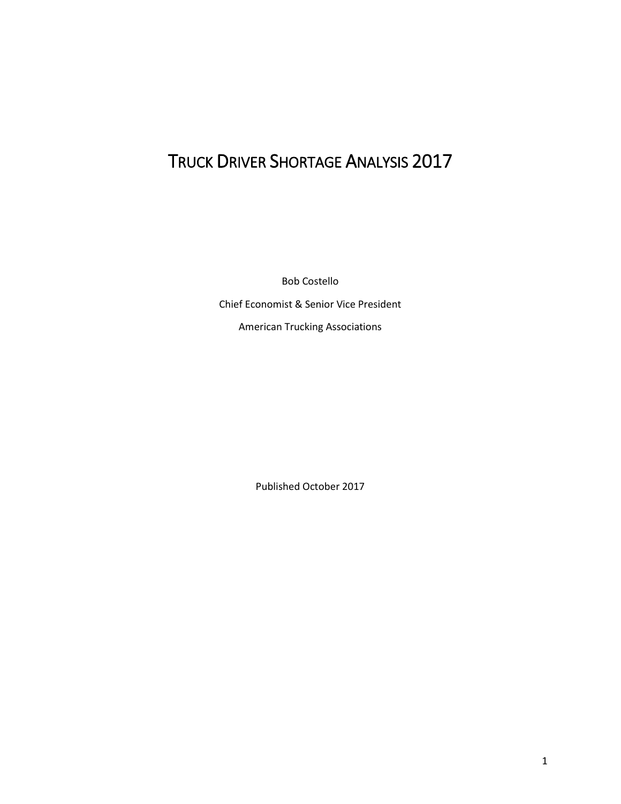# TRUCK DRIVER SHORTAGE ANALYSIS 2017

Bob Costello

Chief Economist & Senior Vice President

American Trucking Associations

Published October 2017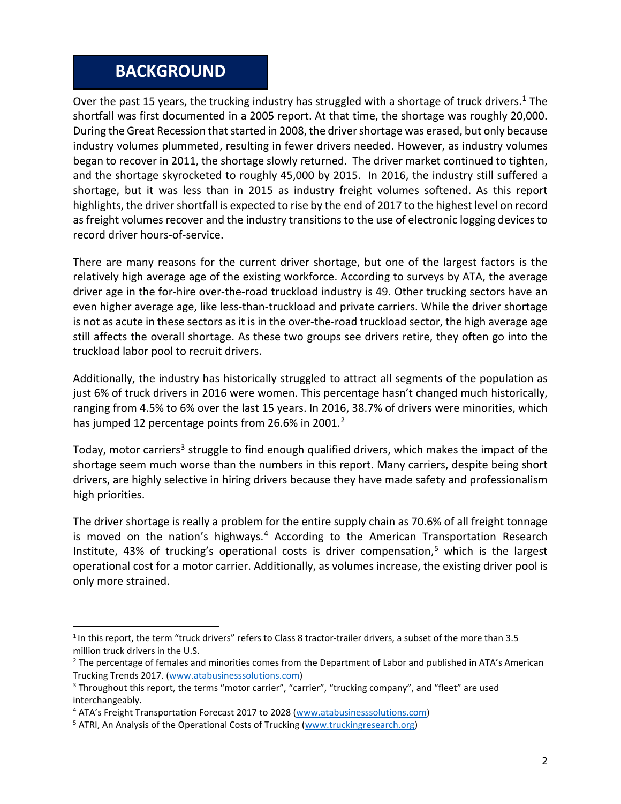#### **BACKGROUND**

Over the past [1](#page-1-0)5 years, the trucking industry has struggled with a shortage of truck drivers.<sup>1</sup> The shortfall was first documented in a 2005 report. At that time, the shortage was roughly 20,000. During the Great Recession that started in 2008, the driver shortage was erased, but only because industry volumes plummeted, resulting in fewer drivers needed. However, as industry volumes began to recover in 2011, the shortage slowly returned. The driver market continued to tighten, and the shortage skyrocketed to roughly 45,000 by 2015. In 2016, the industry still suffered a shortage, but it was less than in 2015 as industry freight volumes softened. As this report highlights, the driver shortfall is expected to rise by the end of 2017 to the highest level on record as freight volumes recover and the industry transitions to the use of electronic logging devices to record driver hours-of-service.

There are many reasons for the current driver shortage, but one of the largest factors is the relatively high average age of the existing workforce. According to surveys by ATA, the average driver age in the for-hire over-the-road truckload industry is 49. Other trucking sectors have an even higher average age, like less-than-truckload and private carriers. While the driver shortage is not as acute in these sectors as it is in the over-the-road truckload sector, the high average age still affects the overall shortage. As these two groups see drivers retire, they often go into the truckload labor pool to recruit drivers.

Additionally, the industry has historically struggled to attract all segments of the population as just 6% of truck drivers in 2016 were women. This percentage hasn't changed much historically, ranging from 4.5% to 6% over the last 15 years. In 2016, 38.7% of drivers were minorities, which has jumped 1[2](#page-1-1) percentage points from 26.6% in 2001.<sup>2</sup>

Today, motor carriers<sup>3</sup> struggle to find enough qualified drivers, which makes the impact of the shortage seem much worse than the numbers in this report. Many carriers, despite being short drivers, are highly selective in hiring drivers because they have made safety and professionalism high priorities.

The driver shortage is really a problem for the entire supply chain as 70.6% of all freight tonnage is moved on the nation's highways.<sup>[4](#page-1-3)</sup> According to the American Transportation Research Institute, 43% of trucking's operational costs is driver compensation,<sup>[5](#page-1-4)</sup> which is the largest operational cost for a motor carrier. Additionally, as volumes increase, the existing driver pool is only more strained.

<span id="page-1-0"></span><sup>&</sup>lt;sup>1</sup> In this report, the term "truck drivers" refers to Class 8 tractor-trailer drivers, a subset of the more than 3.5

<span id="page-1-1"></span>million truck drivers in the U.S.<br><sup>2</sup> The percentage of females and minorities comes from the Department of Labor and published in ATA's American Trucking Trends 2017. [\(www.atabusinesssolutions.com\)](http://www.atabusinesssolutions.com/)

<span id="page-1-2"></span><sup>&</sup>lt;sup>3</sup> Throughout this report, the terms "motor carrier", "carrier", "trucking company", and "fleet" are used interchangeably.

<span id="page-1-3"></span><sup>4</sup> ATA's Freight Transportation Forecast 2017 to 2028 [\(www.atabusinesssolutions.com\)](http://www.atabusinesssolutions.com/)

<span id="page-1-4"></span><sup>&</sup>lt;sup>5</sup> ATRI, An Analysis of the Operational Costs of Trucking [\(www.truckingresearch.org\)](http://www.truckingresearch.org/)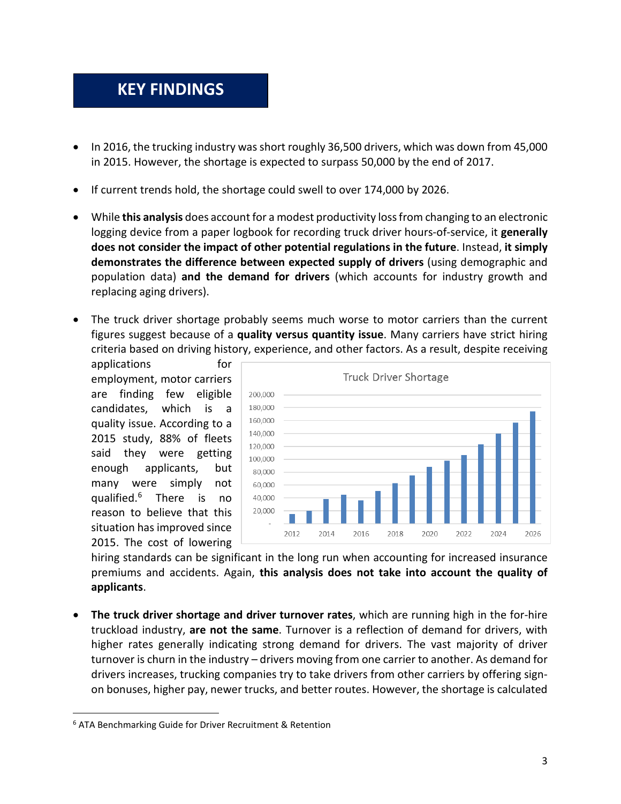## **KEY FINDINGS**

- In 2016, the trucking industry was short roughly 36,500 drivers, which was down from 45,000 in 2015. However, the shortage is expected to surpass 50,000 by the end of 2017.
- If current trends hold, the shortage could swell to over 174,000 by 2026.
- While **this analysis** does account for a modest productivity loss from changing to an electronic logging device from a paper logbook for recording truck driver hours-of-service, it **generally does not consider the impact of other potential regulations in the future**. Instead, **it simply demonstrates the difference between expected supply of drivers** (using demographic and population data) **and the demand for drivers** (which accounts for industry growth and replacing aging drivers).
- The truck driver shortage probably seems much worse to motor carriers than the current figures suggest because of a **quality versus quantity issue**. Many carriers have strict hiring criteria based on driving history, experience, and other factors. As a result, despite receiving

applications for employment, motor carriers are finding few eligible candidates, which is a quality issue. According to a 2015 study, 88% of fleets said they were getting enough applicants, but many were simply not qualified. [6](#page-2-0) There is no reason to believe that this situation has improved since 2015. The cost of lowering



hiring standards can be significant in the long run when accounting for increased insurance premiums and accidents. Again, **this analysis does not take into account the quality of applicants**.

• **The truck driver shortage and driver turnover rates**, which are running high in the for-hire truckload industry, **are not the same**. Turnover is a reflection of demand for drivers, with higher rates generally indicating strong demand for drivers. The vast majority of driver turnover is churn in the industry – drivers moving from one carrier to another. As demand for drivers increases, trucking companies try to take drivers from other carriers by offering signon bonuses, higher pay, newer trucks, and better routes. However, the shortage is calculated

<span id="page-2-0"></span> <sup>6</sup> ATA Benchmarking Guide for Driver Recruitment & Retention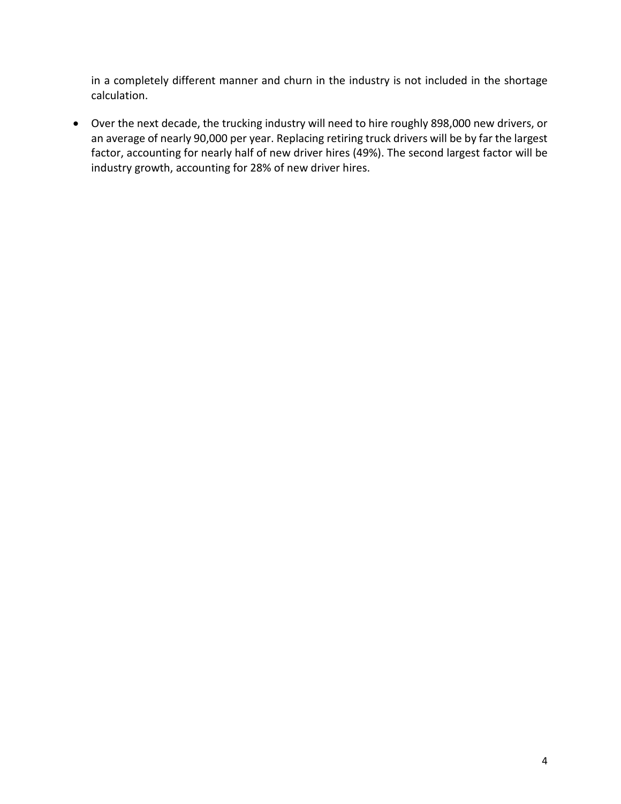in a completely different manner and churn in the industry is not included in the shortage calculation.

• Over the next decade, the trucking industry will need to hire roughly 898,000 new drivers, or an average of nearly 90,000 per year. Replacing retiring truck drivers will be by far the largest factor, accounting for nearly half of new driver hires (49%). The second largest factor will be industry growth, accounting for 28% of new driver hires.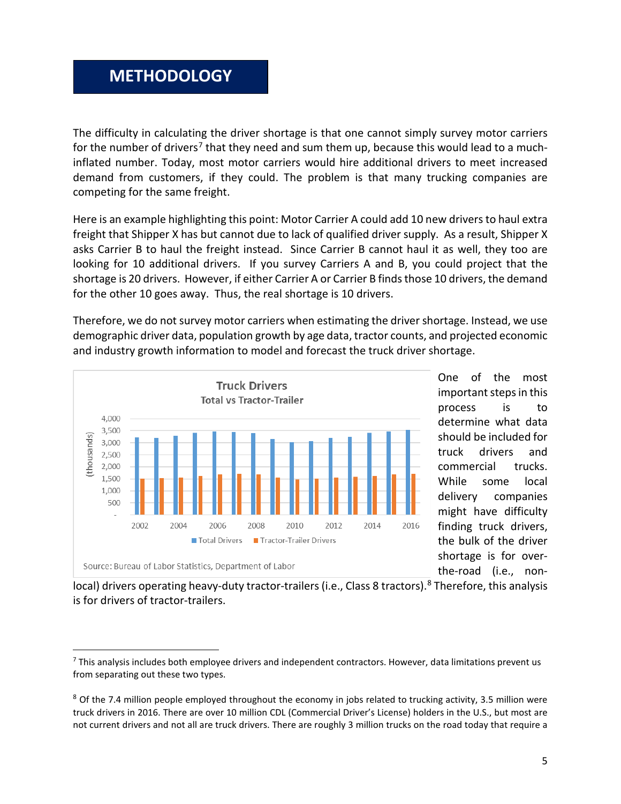#### **METHODOLOGY**

The difficulty in calculating the driver shortage is that one cannot simply survey motor carriers for the number of drivers<sup>[7](#page-4-0)</sup> that they need and sum them up, because this would lead to a muchinflated number. Today, most motor carriers would hire additional drivers to meet increased demand from customers, if they could. The problem is that many trucking companies are competing for the same freight.

Here is an example highlighting this point: Motor Carrier A could add 10 new drivers to haul extra freight that Shipper X has but cannot due to lack of qualified driver supply. As a result, Shipper X asks Carrier B to haul the freight instead. Since Carrier B cannot haul it as well, they too are looking for 10 additional drivers. If you survey Carriers A and B, you could project that the shortage is 20 drivers. However, if either Carrier A or Carrier B finds those 10 drivers, the demand for the other 10 goes away. Thus, the real shortage is 10 drivers.

Therefore, we do not survey motor carriers when estimating the driver shortage. Instead, we use demographic driver data, population growth by age data, tractor counts, and projected economic and industry growth information to model and forecast the truck driver shortage.



One of the most important steps in this process is to determine what data should be included for truck drivers and commercial trucks. While some local delivery companies might have difficulty finding truck drivers, the bulk of the driver shortage is for overthe-road (i.e., non-

local) drivers operating heavy-duty tractor-trailers (i.e., Class [8](#page-4-1) tractors).<sup>8</sup> Therefore, this analysis is for drivers of tractor-trailers.

<span id="page-4-0"></span> $<sup>7</sup>$  This analysis includes both employee drivers and independent contractors. However, data limitations prevent us</sup> from separating out these two types.

<span id="page-4-1"></span> $8$  Of the 7.4 million people employed throughout the economy in jobs related to trucking activity, 3.5 million were truck drivers in 2016. There are over 10 million CDL (Commercial Driver's License) holders in the U.S., but most are not current drivers and not all are truck drivers. There are roughly 3 million trucks on the road today that require a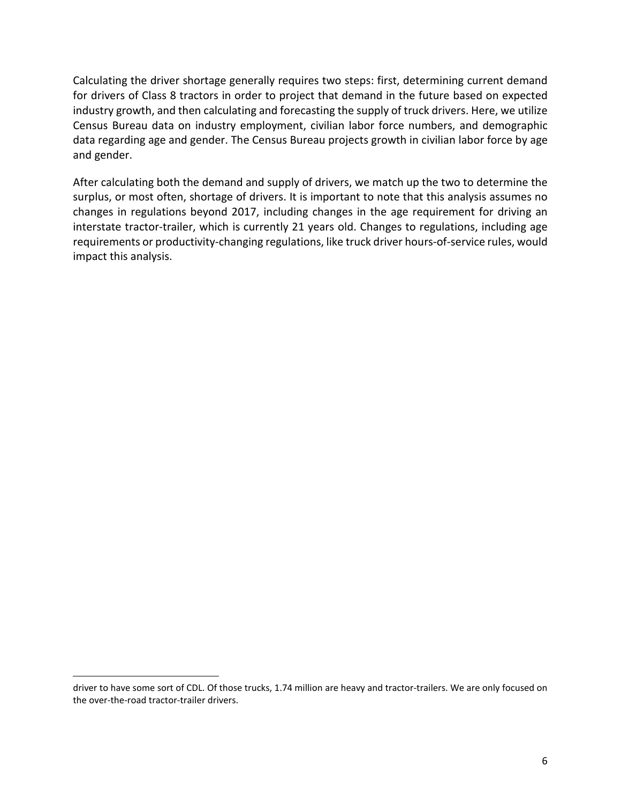Calculating the driver shortage generally requires two steps: first, determining current demand for drivers of Class 8 tractors in order to project that demand in the future based on expected industry growth, and then calculating and forecasting the supply of truck drivers. Here, we utilize Census Bureau data on industry employment, civilian labor force numbers, and demographic data regarding age and gender. The Census Bureau projects growth in civilian labor force by age and gender.

After calculating both the demand and supply of drivers, we match up the two to determine the surplus, or most often, shortage of drivers. It is important to note that this analysis assumes no changes in regulations beyond 2017, including changes in the age requirement for driving an interstate tractor-trailer, which is currently 21 years old. Changes to regulations, including age requirements or productivity-changing regulations, like truck driver hours-of-service rules, would impact this analysis.

l

driver to have some sort of CDL. Of those trucks, 1.74 million are heavy and tractor-trailers. We are only focused on the over-the-road tractor-trailer drivers.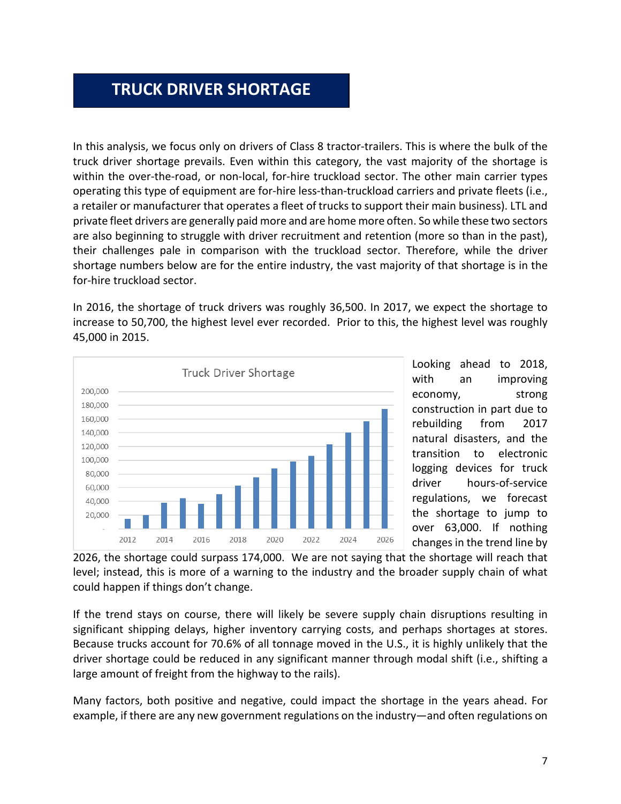### **TRUCK DRIVER SHORTAGE**

In this analysis, we focus only on drivers of Class 8 tractor-trailers. This is where the bulk of the truck driver shortage prevails. Even within this category, the vast majority of the shortage is within the over-the-road, or non-local, for-hire truckload sector. The other main carrier types operating this type of equipment are for-hire less-than-truckload carriers and private fleets (i.e., a retailer or manufacturer that operates a fleet of trucks to support their main business). LTL and private fleet drivers are generally paid more and are home more often. So while these two sectors are also beginning to struggle with driver recruitment and retention (more so than in the past), their challenges pale in comparison with the truckload sector. Therefore, while the driver shortage numbers below are for the entire industry, the vast majority of that shortage is in the for-hire truckload sector.

In 2016, the shortage of truck drivers was roughly 36,500. In 2017, we expect the shortage to increase to 50,700, the highest level ever recorded. Prior to this, the highest level was roughly 45,000 in 2015.



Looking ahead to 2018, with an improving economy, strong construction in part due to rebuilding from 2017 natural disasters, and the transition to electronic logging devices for truck driver hours-of-service regulations, we forecast the shortage to jump to over 63,000. If nothing changes in the trend line by

2026, the shortage could surpass 174,000. We are not saying that the shortage will reach that level; instead, this is more of a warning to the industry and the broader supply chain of what could happen if things don't change.

If the trend stays on course, there will likely be severe supply chain disruptions resulting in significant shipping delays, higher inventory carrying costs, and perhaps shortages at stores. Because trucks account for 70.6% of all tonnage moved in the U.S., it is highly unlikely that the driver shortage could be reduced in any significant manner through modal shift (i.e., shifting a large amount of freight from the highway to the rails).

Many factors, both positive and negative, could impact the shortage in the years ahead. For example, if there are any new government regulations on the industry—and often regulations on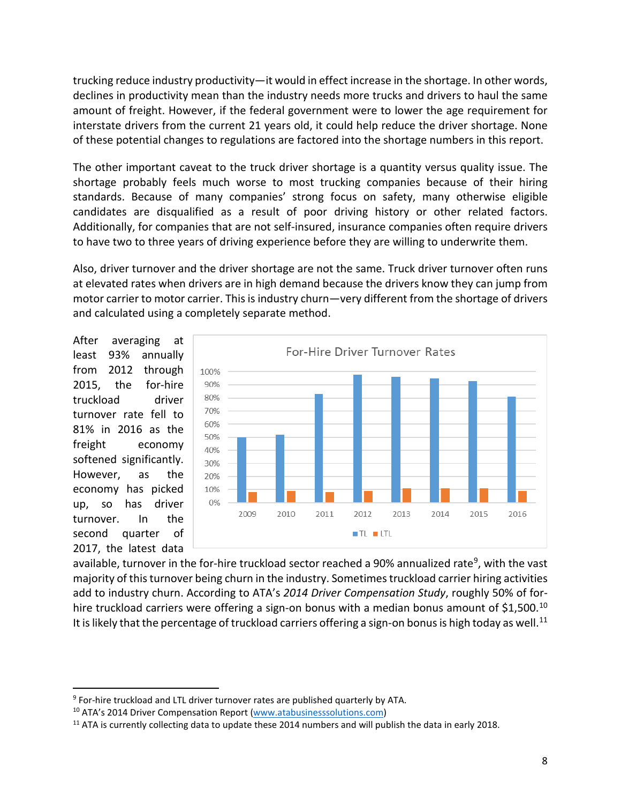trucking reduce industry productivity—it would in effect increase in the shortage. In other words, declines in productivity mean than the industry needs more trucks and drivers to haul the same amount of freight. However, if the federal government were to lower the age requirement for interstate drivers from the current 21 years old, it could help reduce the driver shortage. None of these potential changes to regulations are factored into the shortage numbers in this report.

The other important caveat to the truck driver shortage is a quantity versus quality issue. The shortage probably feels much worse to most trucking companies because of their hiring standards. Because of many companies' strong focus on safety, many otherwise eligible candidates are disqualified as a result of poor driving history or other related factors. Additionally, for companies that are not self-insured, insurance companies often require drivers to have two to three years of driving experience before they are willing to underwrite them.

Also, driver turnover and the driver shortage are not the same. Truck driver turnover often runs at elevated rates when drivers are in high demand because the drivers know they can jump from motor carrier to motor carrier. This is industry churn—very different from the shortage of drivers and calculated using a completely separate method.

After averaging at least 93% annually from 2012 through 2015, the for-hire truckload driver turnover rate fell to 81% in 2016 as the freight economy softened significantly. However, as the economy has picked up, so has driver turnover. In the second quarter of 2017, the latest data



available, turnover in the for-hire truckload sector reached a 90% annualized rate<sup>9</sup>, with the vast majority of this turnover being churn in the industry. Sometimes truckload carrier hiring activities add to industry churn. According to ATA's *2014 Driver Compensation Study*, roughly 50% of for-hire truckload carriers were offering a sign-on bonus with a median bonus amount of \$1,500.<sup>[10](#page-7-1)</sup> It is likely that the percentage of truckload carriers offering a sign-on bonus is high today as well.<sup>[11](#page-7-2)</sup>

<span id="page-7-0"></span><sup>&</sup>lt;sup>9</sup> For-hire truckload and LTL driver turnover rates are published quarterly by ATA.

<span id="page-7-2"></span><span id="page-7-1"></span><sup>&</sup>lt;sup>10</sup> ATA's 2014 Driver Compensation Report [\(www.atabusinesssolutions.com\)](http://www.atabusinesssolutions.com/)<br><sup>11</sup> ATA is currently collecting data to update these 2014 numbers and will publish the data in early 2018.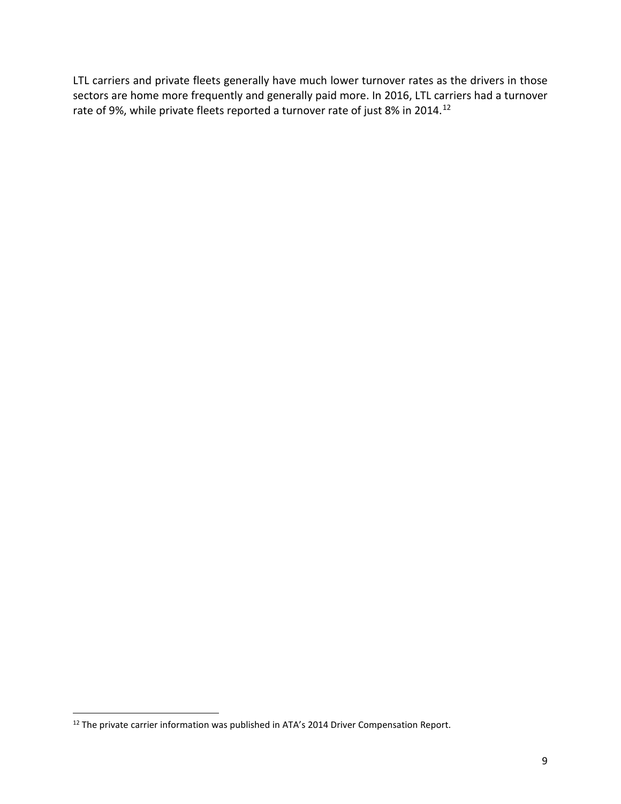LTL carriers and private fleets generally have much lower turnover rates as the drivers in those sectors are home more frequently and generally paid more. In 2016, LTL carriers had a turnover rate of 9%, while private fleets reported a turnover rate of just 8% in 2014.<sup>[12](#page-8-0)</sup>

<span id="page-8-0"></span><sup>&</sup>lt;sup>12</sup> The private carrier information was published in ATA's 2014 Driver Compensation Report.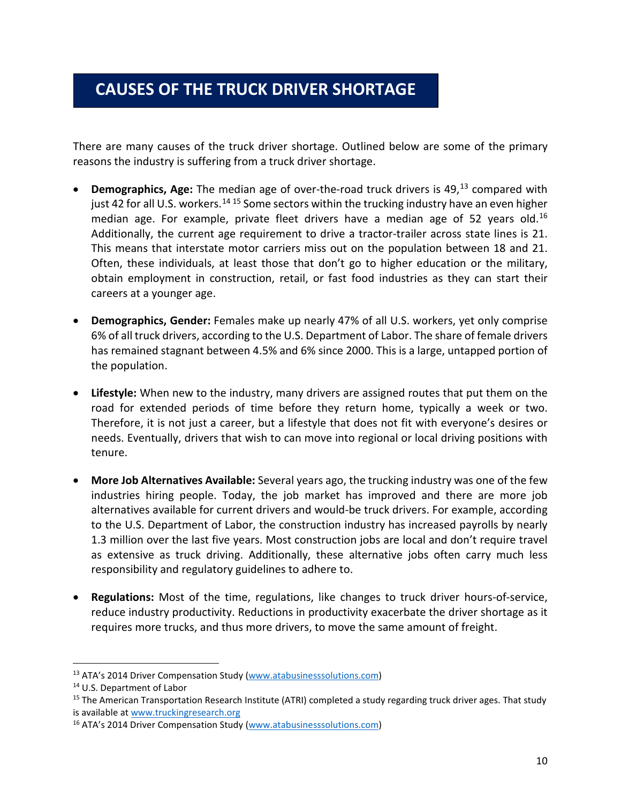## **CAUSES OF THE TRUCK DRIVER SHORTAGE**

There are many causes of the truck driver shortage. Outlined below are some of the primary reasons the industry is suffering from a truck driver shortage.

- **Demographics, Age:** The median age of over-the-road truck drivers is 49, [13](#page-9-0) compared with just 42 for all U.S. workers.<sup>[14](#page-9-1) [15](#page-9-2)</sup> Some sectors within the trucking industry have an even higher median age. For example, private fleet drivers have a median age of 52 years old.<sup>[16](#page-9-3)</sup> Additionally, the current age requirement to drive a tractor-trailer across state lines is 21. This means that interstate motor carriers miss out on the population between 18 and 21. Often, these individuals, at least those that don't go to higher education or the military, obtain employment in construction, retail, or fast food industries as they can start their careers at a younger age.
- **Demographics, Gender:** Females make up nearly 47% of all U.S. workers, yet only comprise 6% of all truck drivers, according to the U.S. Department of Labor. The share of female drivers has remained stagnant between 4.5% and 6% since 2000. This is a large, untapped portion of the population.
- **Lifestyle:** When new to the industry, many drivers are assigned routes that put them on the road for extended periods of time before they return home, typically a week or two. Therefore, it is not just a career, but a lifestyle that does not fit with everyone's desires or needs. Eventually, drivers that wish to can move into regional or local driving positions with tenure.
- **More Job Alternatives Available:** Several years ago, the trucking industry was one of the few industries hiring people. Today, the job market has improved and there are more job alternatives available for current drivers and would-be truck drivers. For example, according to the U.S. Department of Labor, the construction industry has increased payrolls by nearly 1.3 million over the last five years. Most construction jobs are local and don't require travel as extensive as truck driving. Additionally, these alternative jobs often carry much less responsibility and regulatory guidelines to adhere to.
- **Regulations:** Most of the time, regulations, like changes to truck driver hours-of-service, reduce industry productivity. Reductions in productivity exacerbate the driver shortage as it requires more trucks, and thus more drivers, to move the same amount of freight.

<span id="page-9-0"></span><sup>&</sup>lt;sup>13</sup> ATA's 2014 Driver Compensation Study [\(www.atabusinesssolutions.com\)](http://www.atabusinesssolutions.com/)<br><sup>14</sup> U.S. Department of Labor

<span id="page-9-1"></span>

<span id="page-9-2"></span><sup>&</sup>lt;sup>15</sup> The American Transportation Research Institute (ATRI) completed a study regarding truck driver ages. That study is available at [www.truckingresearch.org](http://www.truckingresearch.org/)

<span id="page-9-3"></span><sup>16</sup> ATA's 2014 Driver Compensation Study [\(www.atabusinesssolutions.com\)](http://www.atabusinesssolutions.com/)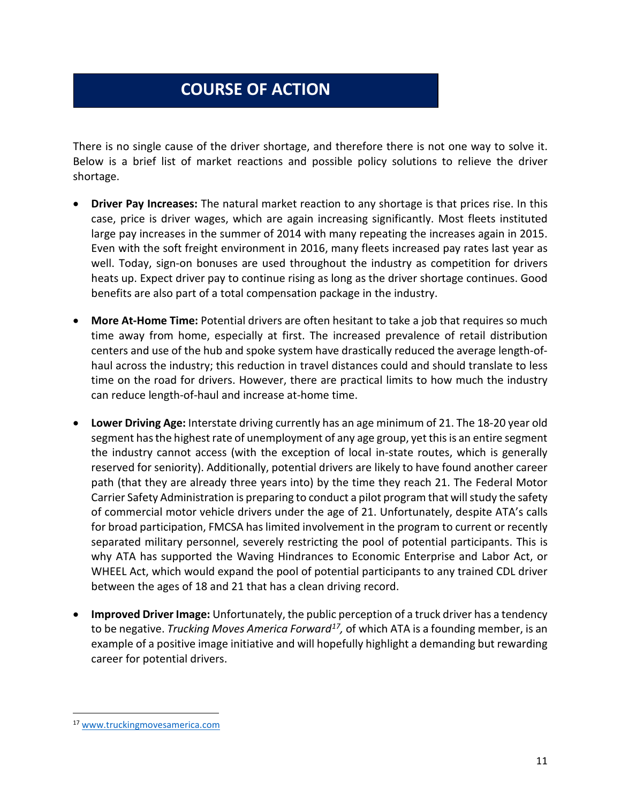# **COURSE OF ACTION**

There is no single cause of the driver shortage, and therefore there is not one way to solve it. Below is a brief list of market reactions and possible policy solutions to relieve the driver shortage.

- **Driver Pay Increases:** The natural market reaction to any shortage is that prices rise. In this case, price is driver wages, which are again increasing significantly. Most fleets instituted large pay increases in the summer of 2014 with many repeating the increases again in 2015. Even with the soft freight environment in 2016, many fleets increased pay rates last year as well. Today, sign-on bonuses are used throughout the industry as competition for drivers heats up. Expect driver pay to continue rising as long as the driver shortage continues. Good benefits are also part of a total compensation package in the industry.
- **More At-Home Time:** Potential drivers are often hesitant to take a job that requires so much time away from home, especially at first. The increased prevalence of retail distribution centers and use of the hub and spoke system have drastically reduced the average length-ofhaul across the industry; this reduction in travel distances could and should translate to less time on the road for drivers. However, there are practical limits to how much the industry can reduce length-of-haul and increase at-home time.
- **Lower Driving Age:** Interstate driving currently has an age minimum of 21. The 18-20 year old segment has the highest rate of unemployment of any age group, yet this is an entire segment the industry cannot access (with the exception of local in-state routes, which is generally reserved for seniority). Additionally, potential drivers are likely to have found another career path (that they are already three years into) by the time they reach 21. The Federal Motor Carrier Safety Administration is preparing to conduct a pilot program that will study the safety of commercial motor vehicle drivers under the age of 21. Unfortunately, despite ATA's calls for broad participation, FMCSA has limited involvement in the program to current or recently separated military personnel, severely restricting the pool of potential participants. This is why ATA has supported the Waving Hindrances to Economic Enterprise and Labor Act, or WHEEL Act, which would expand the pool of potential participants to any trained CDL driver between the ages of 18 and 21 that has a clean driving record.
- **Improved Driver Image:** Unfortunately, the public perception of a truck driver has a tendency to be negative. *Trucking Moves America Forward[17,](#page-10-0)* of which ATA is a founding member, is an example of a positive image initiative and will hopefully highlight a demanding but rewarding career for potential drivers.

<span id="page-10-0"></span> <sup>17</sup> [www.truckingmovesamerica.com](http://www.truckingmovesamerica.com/)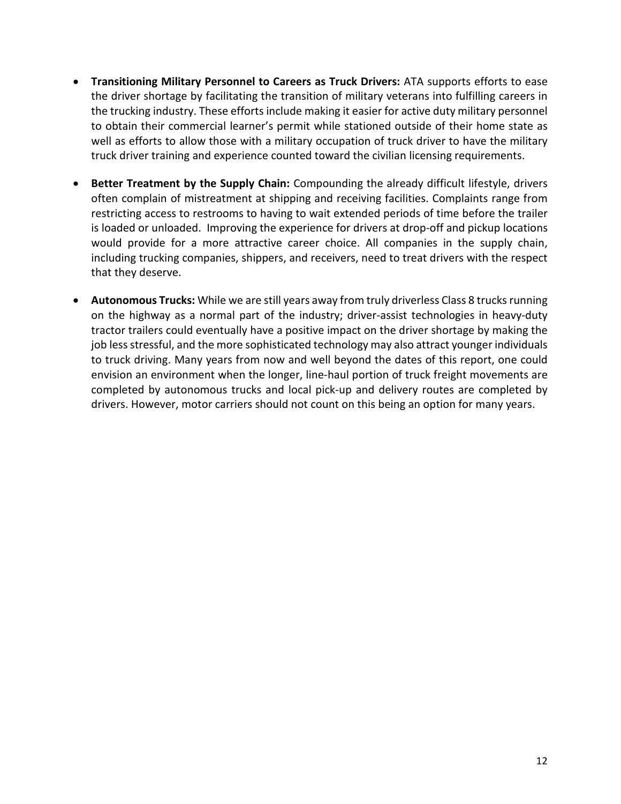- **Transitioning Military Personnel to Careers as Truck Drivers:** ATA supports efforts to ease the driver shortage by facilitating the transition of military veterans into fulfilling careers in the trucking industry. These efforts include making it easier for active duty military personnel to obtain their commercial learner's permit while stationed outside of their home state as well as efforts to allow those with a military occupation of truck driver to have the military truck driver training and experience counted toward the civilian licensing requirements.
- **Better Treatment by the Supply Chain:** Compounding the already difficult lifestyle, drivers often complain of mistreatment at shipping and receiving facilities. Complaints range from restricting access to restrooms to having to wait extended periods of time before the trailer is loaded or unloaded. Improving the experience for drivers at drop-off and pickup locations would provide for a more attractive career choice. All companies in the supply chain, including trucking companies, shippers, and receivers, need to treat drivers with the respect that they deserve.
- **Autonomous Trucks:** While we are still years away from truly driverless Class 8 trucks running on the highway as a normal part of the industry; driver-assist technologies in heavy-duty tractor trailers could eventually have a positive impact on the driver shortage by making the job less stressful, and the more sophisticated technology may also attract younger individuals to truck driving. Many years from now and well beyond the dates of this report, one could envision an environment when the longer, line-haul portion of truck freight movements are completed by autonomous trucks and local pick-up and delivery routes are completed by drivers. However, motor carriers should not count on this being an option for many years.